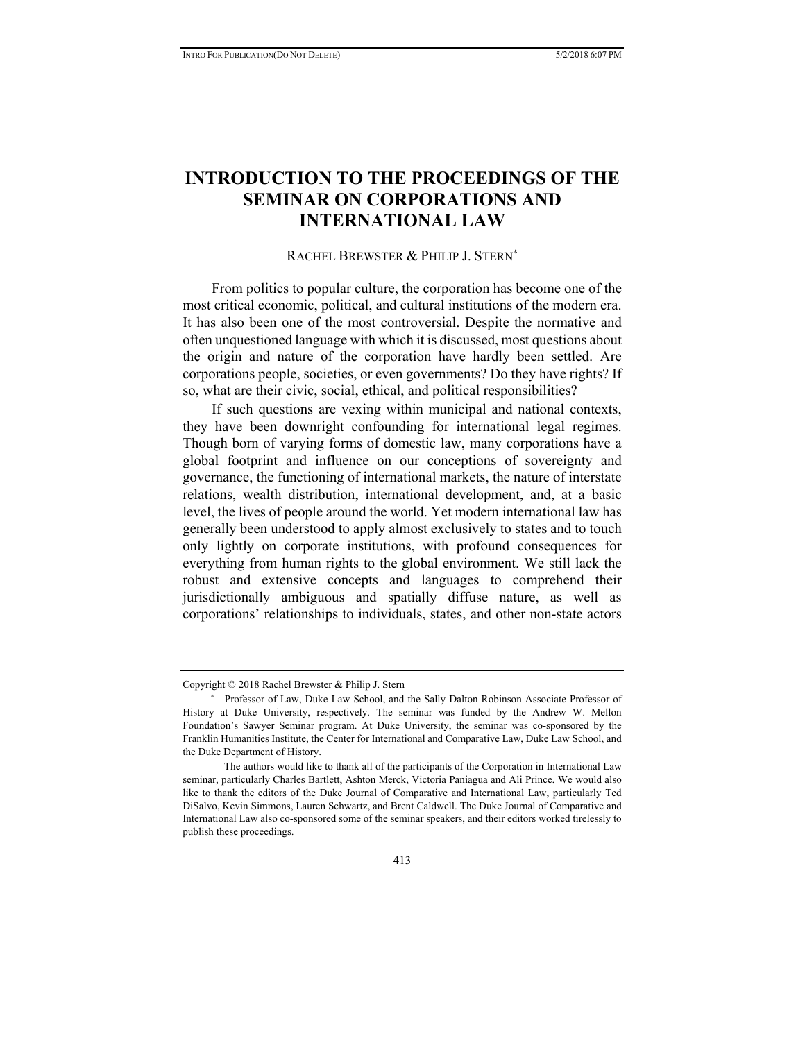## **INTRODUCTION TO THE PROCEEDINGS OF THE SEMINAR ON CORPORATIONS AND INTERNATIONAL LAW**

## RACHEL BREWSTER & PHILIP J. STERN<sup>∗</sup>

From politics to popular culture, the corporation has become one of the most critical economic, political, and cultural institutions of the modern era. It has also been one of the most controversial. Despite the normative and often unquestioned language with which it is discussed, most questions about the origin and nature of the corporation have hardly been settled. Are corporations people, societies, or even governments? Do they have rights? If so, what are their civic, social, ethical, and political responsibilities?

If such questions are vexing within municipal and national contexts, they have been downright confounding for international legal regimes. Though born of varying forms of domestic law, many corporations have a global footprint and influence on our conceptions of sovereignty and governance, the functioning of international markets, the nature of interstate relations, wealth distribution, international development, and, at a basic level, the lives of people around the world. Yet modern international law has generally been understood to apply almost exclusively to states and to touch only lightly on corporate institutions, with profound consequences for everything from human rights to the global environment. We still lack the robust and extensive concepts and languages to comprehend their jurisdictionally ambiguous and spatially diffuse nature, as well as corporations' relationships to individuals, states, and other non-state actors

Copyright © 2018 Rachel Brewster & Philip J. Stern

<sup>∗</sup> Professor of Law, Duke Law School, and the Sally Dalton Robinson Associate Professor of History at Duke University, respectively. The seminar was funded by the Andrew W. Mellon Foundation's Sawyer Seminar program. At Duke University, the seminar was co-sponsored by the Franklin Humanities Institute, the Center for International and Comparative Law, Duke Law School, and the Duke Department of History.

The authors would like to thank all of the participants of the Corporation in International Law seminar, particularly Charles Bartlett, Ashton Merck, Victoria Paniagua and Ali Prince. We would also like to thank the editors of the Duke Journal of Comparative and International Law, particularly Ted DiSalvo, Kevin Simmons, Lauren Schwartz, and Brent Caldwell. The Duke Journal of Comparative and International Law also co-sponsored some of the seminar speakers, and their editors worked tirelessly to publish these proceedings.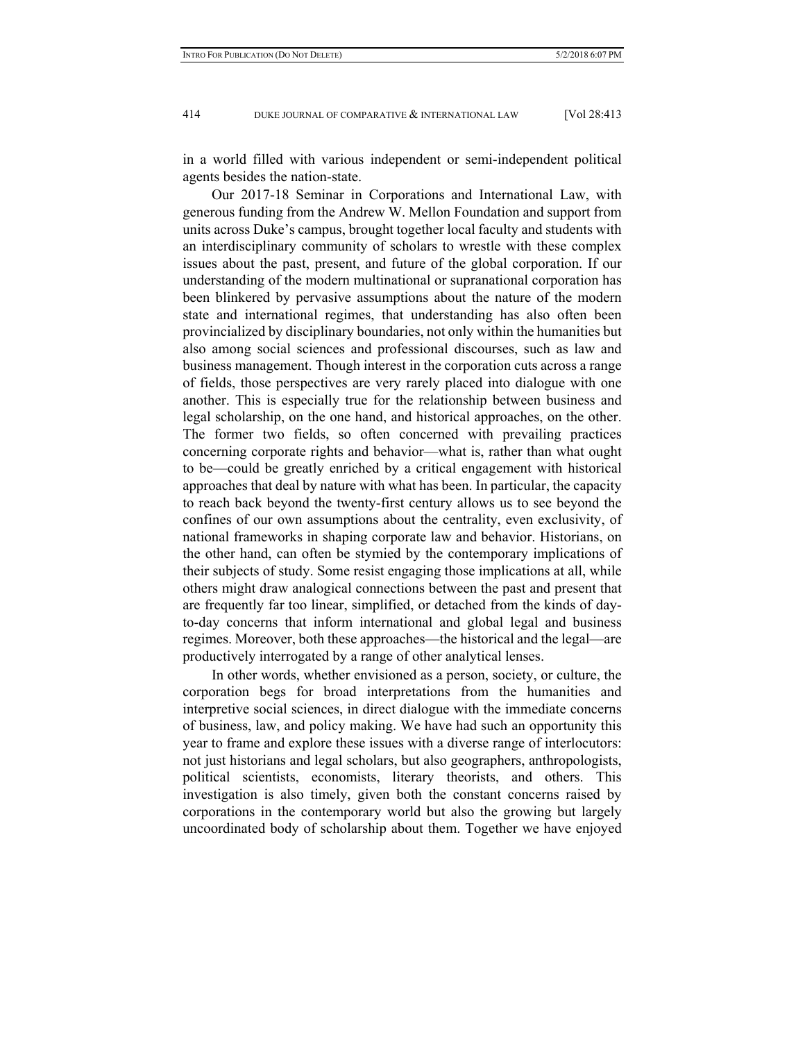in a world filled with various independent or semi-independent political agents besides the nation-state.

Our 2017-18 Seminar in Corporations and International Law, with generous funding from the Andrew W. Mellon Foundation and support from units across Duke's campus, brought together local faculty and students with an interdisciplinary community of scholars to wrestle with these complex issues about the past, present, and future of the global corporation. If our understanding of the modern multinational or supranational corporation has been blinkered by pervasive assumptions about the nature of the modern state and international regimes, that understanding has also often been provincialized by disciplinary boundaries, not only within the humanities but also among social sciences and professional discourses, such as law and business management. Though interest in the corporation cuts across a range of fields, those perspectives are very rarely placed into dialogue with one another. This is especially true for the relationship between business and legal scholarship, on the one hand, and historical approaches, on the other. The former two fields, so often concerned with prevailing practices concerning corporate rights and behavior—what is, rather than what ought to be—could be greatly enriched by a critical engagement with historical approaches that deal by nature with what has been. In particular, the capacity to reach back beyond the twenty-first century allows us to see beyond the confines of our own assumptions about the centrality, even exclusivity, of national frameworks in shaping corporate law and behavior. Historians, on the other hand, can often be stymied by the contemporary implications of their subjects of study. Some resist engaging those implications at all, while others might draw analogical connections between the past and present that are frequently far too linear, simplified, or detached from the kinds of dayto-day concerns that inform international and global legal and business regimes. Moreover, both these approaches—the historical and the legal—are productively interrogated by a range of other analytical lenses.

In other words, whether envisioned as a person, society, or culture, the corporation begs for broad interpretations from the humanities and interpretive social sciences, in direct dialogue with the immediate concerns of business, law, and policy making. We have had such an opportunity this year to frame and explore these issues with a diverse range of interlocutors: not just historians and legal scholars, but also geographers, anthropologists, political scientists, economists, literary theorists, and others. This investigation is also timely, given both the constant concerns raised by corporations in the contemporary world but also the growing but largely uncoordinated body of scholarship about them. Together we have enjoyed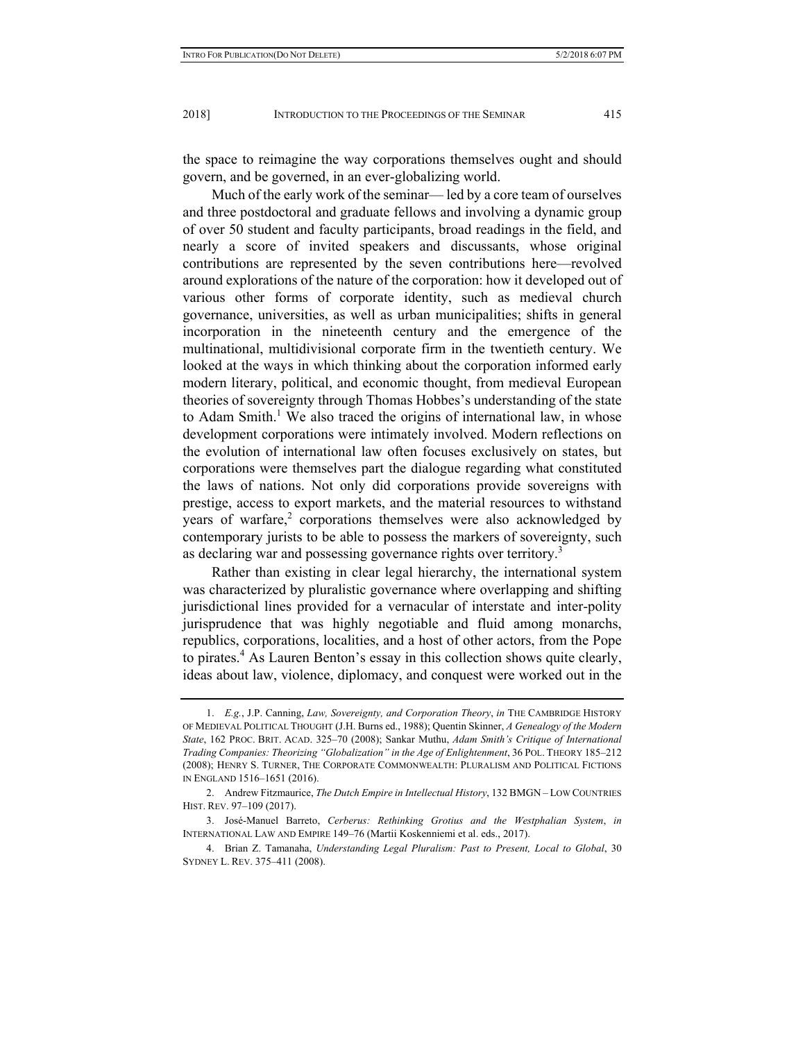the space to reimagine the way corporations themselves ought and should govern, and be governed, in an ever-globalizing world.

Much of the early work of the seminar— led by a core team of ourselves and three postdoctoral and graduate fellows and involving a dynamic group of over 50 student and faculty participants, broad readings in the field, and nearly a score of invited speakers and discussants, whose original contributions are represented by the seven contributions here—revolved around explorations of the nature of the corporation: how it developed out of various other forms of corporate identity, such as medieval church governance, universities, as well as urban municipalities; shifts in general incorporation in the nineteenth century and the emergence of the multinational, multidivisional corporate firm in the twentieth century. We looked at the ways in which thinking about the corporation informed early modern literary, political, and economic thought, from medieval European theories of sovereignty through Thomas Hobbes's understanding of the state to Adam Smith.<sup>1</sup> We also traced the origins of international law, in whose development corporations were intimately involved. Modern reflections on the evolution of international law often focuses exclusively on states, but corporations were themselves part the dialogue regarding what constituted the laws of nations. Not only did corporations provide sovereigns with prestige, access to export markets, and the material resources to withstand years of warfare, $2$  corporations themselves were also acknowledged by contemporary jurists to be able to possess the markers of sovereignty, such as declaring war and possessing governance rights over territory.<sup>3</sup>

Rather than existing in clear legal hierarchy, the international system was characterized by pluralistic governance where overlapping and shifting jurisdictional lines provided for a vernacular of interstate and inter-polity jurisprudence that was highly negotiable and fluid among monarchs, republics, corporations, localities, and a host of other actors, from the Pope to pirates.<sup>4</sup> As Lauren Benton's essay in this collection shows quite clearly, ideas about law, violence, diplomacy, and conquest were worked out in the

 <sup>1.</sup> *E.g.*, J.P. Canning, *Law, Sovereignty, and Corporation Theory*, *in* THE CAMBRIDGE HISTORY OF MEDIEVAL POLITICAL THOUGHT (J.H. Burns ed., 1988); Quentin Skinner, *A Genealogy of the Modern State*, 162 PROC. BRIT. ACAD. 325–70 (2008); Sankar Muthu, *Adam Smith's Critique of International Trading Companies: Theorizing "Globalization" in the Age of Enlightenment*, 36 POL. THEORY 185–212 (2008); HENRY S. TURNER, THE CORPORATE COMMONWEALTH: PLURALISM AND POLITICAL FICTIONS IN ENGLAND 1516–1651 (2016).

 <sup>2.</sup> Andrew Fitzmaurice, *The Dutch Empire in Intellectual History*, 132 BMGN – LOW COUNTRIES HIST. REV. 97–109 (2017).

 <sup>3.</sup> José-Manuel Barreto, *Cerberus: Rethinking Grotius and the Westphalian System*, *in* INTERNATIONAL LAW AND EMPIRE 149–76 (Martii Koskenniemi et al. eds., 2017).

 <sup>4.</sup> Brian Z. Tamanaha, *Understanding Legal Pluralism: Past to Present, Local to Global*, 30 SYDNEY L. REV. 375–411 (2008).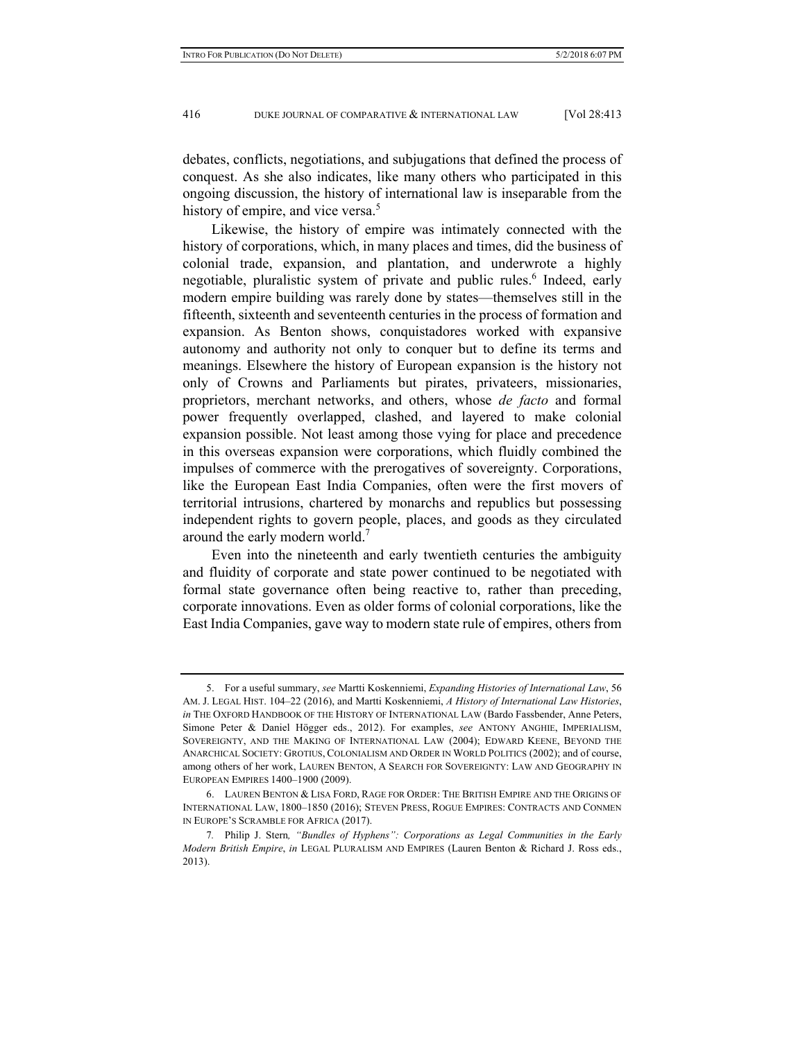debates, conflicts, negotiations, and subjugations that defined the process of conquest. As she also indicates, like many others who participated in this ongoing discussion, the history of international law is inseparable from the history of empire, and vice versa.<sup>5</sup>

Likewise, the history of empire was intimately connected with the history of corporations, which, in many places and times, did the business of colonial trade, expansion, and plantation, and underwrote a highly negotiable, pluralistic system of private and public rules.<sup>6</sup> Indeed, early modern empire building was rarely done by states—themselves still in the fifteenth, sixteenth and seventeenth centuries in the process of formation and expansion. As Benton shows, conquistadores worked with expansive autonomy and authority not only to conquer but to define its terms and meanings. Elsewhere the history of European expansion is the history not only of Crowns and Parliaments but pirates, privateers, missionaries, proprietors, merchant networks, and others, whose *de facto* and formal power frequently overlapped, clashed, and layered to make colonial expansion possible. Not least among those vying for place and precedence in this overseas expansion were corporations, which fluidly combined the impulses of commerce with the prerogatives of sovereignty. Corporations, like the European East India Companies, often were the first movers of territorial intrusions, chartered by monarchs and republics but possessing independent rights to govern people, places, and goods as they circulated around the early modern world.<sup>7</sup>

Even into the nineteenth and early twentieth centuries the ambiguity and fluidity of corporate and state power continued to be negotiated with formal state governance often being reactive to, rather than preceding, corporate innovations. Even as older forms of colonial corporations, like the East India Companies, gave way to modern state rule of empires, others from

 <sup>5.</sup> For a useful summary, *see* Martti Koskenniemi, *Expanding Histories of International Law*, 56 AM. J. LEGAL HIST. 104–22 (2016), and Martti Koskenniemi, *A History of International Law Histories*, *in* THE OXFORD HANDBOOK OF THE HISTORY OF INTERNATIONAL LAW (Bardo Fassbender, Anne Peters, Simone Peter & Daniel Högger eds., 2012). For examples, *see* ANTONY ANGHIE, IMPERIALISM, SOVEREIGNTY, AND THE MAKING OF INTERNATIONAL LAW (2004); EDWARD KEENE, BEYOND THE ANARCHICAL SOCIETY: GROTIUS, COLONIALISM AND ORDER IN WORLD POLITICS (2002); and of course, among others of her work, LAUREN BENTON, A SEARCH FOR SOVEREIGNTY: LAW AND GEOGRAPHY IN EUROPEAN EMPIRES 1400–1900 (2009).

 <sup>6.</sup> LAUREN BENTON & LISA FORD, RAGE FOR ORDER: THE BRITISH EMPIRE AND THE ORIGINS OF INTERNATIONAL LAW, 1800–1850 (2016); STEVEN PRESS, ROGUE EMPIRES: CONTRACTS AND CONMEN IN EUROPE'S SCRAMBLE FOR AFRICA (2017).

<sup>7</sup>*.* Philip J. Stern*, "Bundles of Hyphens": Corporations as Legal Communities in the Early Modern British Empire*, *in* LEGAL PLURALISM AND EMPIRES (Lauren Benton & Richard J. Ross eds., 2013).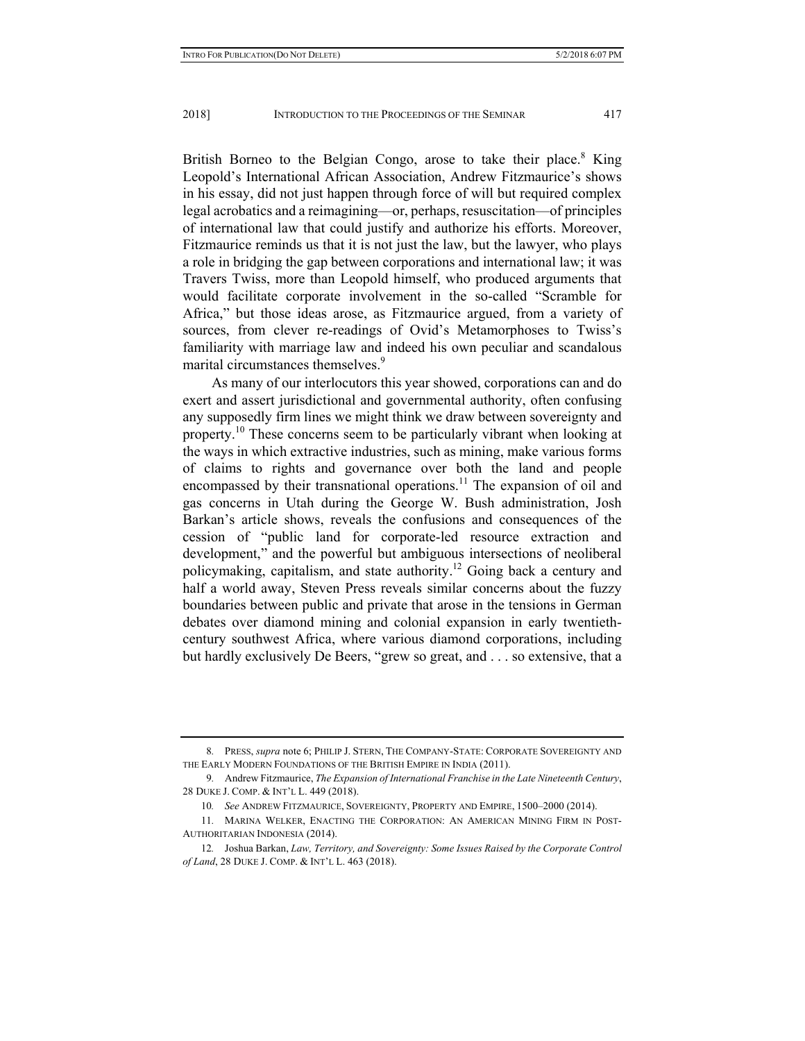British Borneo to the Belgian Congo, arose to take their place.<sup>8</sup> King Leopold's International African Association, Andrew Fitzmaurice's shows in his essay, did not just happen through force of will but required complex legal acrobatics and a reimagining—or, perhaps, resuscitation—of principles of international law that could justify and authorize his efforts. Moreover, Fitzmaurice reminds us that it is not just the law, but the lawyer, who plays a role in bridging the gap between corporations and international law; it was Travers Twiss, more than Leopold himself, who produced arguments that would facilitate corporate involvement in the so-called "Scramble for Africa," but those ideas arose, as Fitzmaurice argued, from a variety of sources, from clever re-readings of Ovid's Metamorphoses to Twiss's familiarity with marriage law and indeed his own peculiar and scandalous marital circumstances themselves.<sup>9</sup>

As many of our interlocutors this year showed, corporations can and do exert and assert jurisdictional and governmental authority, often confusing any supposedly firm lines we might think we draw between sovereignty and property.<sup>10</sup> These concerns seem to be particularly vibrant when looking at the ways in which extractive industries, such as mining, make various forms of claims to rights and governance over both the land and people encompassed by their transnational operations.<sup>11</sup> The expansion of oil and gas concerns in Utah during the George W. Bush administration, Josh Barkan's article shows, reveals the confusions and consequences of the cession of "public land for corporate-led resource extraction and development," and the powerful but ambiguous intersections of neoliberal policymaking, capitalism, and state authority.12 Going back a century and half a world away, Steven Press reveals similar concerns about the fuzzy boundaries between public and private that arose in the tensions in German debates over diamond mining and colonial expansion in early twentiethcentury southwest Africa, where various diamond corporations, including but hardly exclusively De Beers, "grew so great, and . . . so extensive, that a

<sup>8</sup>*.* PRESS, *supra* note 6; PHILIP J. STERN, THE COMPANY-STATE: CORPORATE SOVEREIGNTY AND THE EARLY MODERN FOUNDATIONS OF THE BRITISH EMPIRE IN INDIA (2011).

<sup>9</sup>*.* Andrew Fitzmaurice, *The Expansion of International Franchise in the Late Nineteenth Century*, 28 DUKE J. COMP. & INT'L L. 449 (2018).

<sup>10</sup>*. See* ANDREW FITZMAURICE, SOVEREIGNTY, PROPERTY AND EMPIRE, 1500–2000 (2014).

<sup>11</sup>*.* MARINA WELKER, ENACTING THE CORPORATION: AN AMERICAN MINING FIRM IN POST-AUTHORITARIAN INDONESIA (2014).

<sup>12</sup>*.* Joshua Barkan, *Law, Territory, and Sovereignty: Some Issues Raised by the Corporate Control of Land*, 28 DUKE J. COMP. & INT'L L. 463 (2018).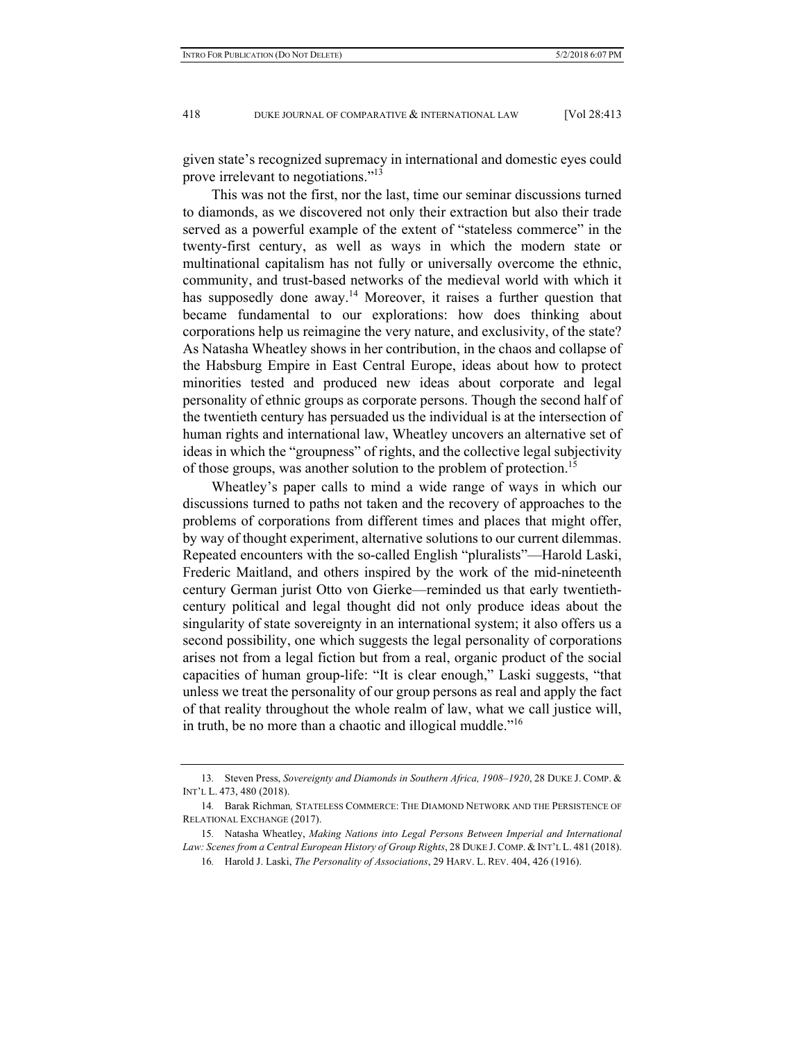given state's recognized supremacy in international and domestic eyes could prove irrelevant to negotiations."<sup>13</sup>

This was not the first, nor the last, time our seminar discussions turned to diamonds, as we discovered not only their extraction but also their trade served as a powerful example of the extent of "stateless commerce" in the twenty-first century, as well as ways in which the modern state or multinational capitalism has not fully or universally overcome the ethnic, community, and trust-based networks of the medieval world with which it has supposedly done away.<sup>14</sup> Moreover, it raises a further question that became fundamental to our explorations: how does thinking about corporations help us reimagine the very nature, and exclusivity, of the state? As Natasha Wheatley shows in her contribution, in the chaos and collapse of the Habsburg Empire in East Central Europe, ideas about how to protect minorities tested and produced new ideas about corporate and legal personality of ethnic groups as corporate persons. Though the second half of the twentieth century has persuaded us the individual is at the intersection of human rights and international law, Wheatley uncovers an alternative set of ideas in which the "groupness" of rights, and the collective legal subjectivity of those groups, was another solution to the problem of protection.<sup>15</sup>

Wheatley's paper calls to mind a wide range of ways in which our discussions turned to paths not taken and the recovery of approaches to the problems of corporations from different times and places that might offer, by way of thought experiment, alternative solutions to our current dilemmas. Repeated encounters with the so-called English "pluralists"—Harold Laski, Frederic Maitland, and others inspired by the work of the mid-nineteenth century German jurist Otto von Gierke—reminded us that early twentiethcentury political and legal thought did not only produce ideas about the singularity of state sovereignty in an international system; it also offers us a second possibility, one which suggests the legal personality of corporations arises not from a legal fiction but from a real, organic product of the social capacities of human group-life: "It is clear enough," Laski suggests, "that unless we treat the personality of our group persons as real and apply the fact of that reality throughout the whole realm of law, what we call justice will, in truth, be no more than a chaotic and illogical muddle."<sup>16</sup>

<sup>13</sup>*.* Steven Press, *Sovereignty and Diamonds in Southern Africa, 1908–1920*, 28 DUKE J. COMP. & INT'L L. 473, 480 (2018).

<sup>14</sup>*.* Barak Richman*,* STATELESS COMMERCE: THE DIAMOND NETWORK AND THE PERSISTENCE OF RELATIONAL EXCHANGE (2017).

<sup>15</sup>*.* Natasha Wheatley, *Making Nations into Legal Persons Between Imperial and International Law: Scenes from a Central European History of Group Rights*, 28 DUKE J. COMP. & INT'L L. 481 (2018).

<sup>16</sup>*.* Harold J. Laski, *The Personality of Associations*, 29 HARV. L. REV. 404, 426 (1916).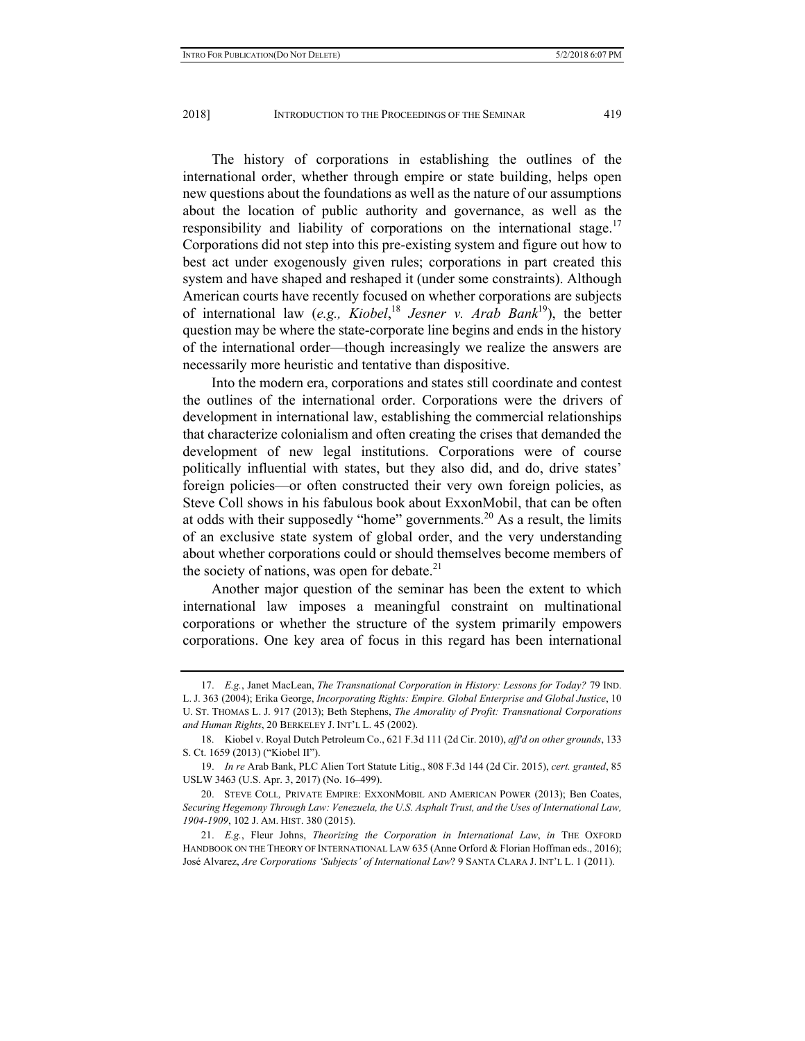The history of corporations in establishing the outlines of the international order, whether through empire or state building, helps open new questions about the foundations as well as the nature of our assumptions about the location of public authority and governance, as well as the responsibility and liability of corporations on the international stage.<sup>17</sup> Corporations did not step into this pre-existing system and figure out how to best act under exogenously given rules; corporations in part created this system and have shaped and reshaped it (under some constraints). Although American courts have recently focused on whether corporations are subjects of international law (*e.g., Kiobel*, <sup>18</sup> *Jesner v. Arab Bank*19), the better question may be where the state-corporate line begins and ends in the history of the international order—though increasingly we realize the answers are necessarily more heuristic and tentative than dispositive.

Into the modern era, corporations and states still coordinate and contest the outlines of the international order. Corporations were the drivers of development in international law, establishing the commercial relationships that characterize colonialism and often creating the crises that demanded the development of new legal institutions. Corporations were of course politically influential with states, but they also did, and do, drive states' foreign policies—or often constructed their very own foreign policies, as Steve Coll shows in his fabulous book about ExxonMobil, that can be often at odds with their supposedly "home" governments.<sup>20</sup> As a result, the limits of an exclusive state system of global order, and the very understanding about whether corporations could or should themselves become members of the society of nations, was open for debate. $2<sup>1</sup>$ 

Another major question of the seminar has been the extent to which international law imposes a meaningful constraint on multinational corporations or whether the structure of the system primarily empowers corporations. One key area of focus in this regard has been international

 <sup>17.</sup> *E.g.*, Janet MacLean, *The Transnational Corporation in History: Lessons for Today?* 79 IND. L. J. 363 (2004); Erika George, *Incorporating Rights: Empire. Global Enterprise and Global Justice*, 10 U. ST. THOMAS L. J. 917 (2013); Beth Stephens, *The Amorality of Profit: Transnational Corporations and Human Rights*, 20 BERKELEY J. INT'L L. 45 (2002).

 <sup>18.</sup> Kiobel v. Royal Dutch Petroleum Co., 621 F.3d 111 (2d Cir. 2010), *affʹd on other grounds*, 133 S. Ct. 1659 (2013) ("Kiobel II").

 <sup>19.</sup> *In re* Arab Bank, PLC Alien Tort Statute Litig., 808 F.3d 144 (2d Cir. 2015), *cert. granted*, 85 USLW 3463 (U.S. Apr. 3, 2017) (No. 16–499).

 <sup>20.</sup> STEVE COLL*,* PRIVATE EMPIRE: EXXONMOBIL AND AMERICAN POWER (2013); Ben Coates, *Securing Hegemony Through Law: Venezuela, the U.S. Asphalt Trust, and the Uses of International Law, 1904-1909*, 102 J. AM. HIST. 380 (2015).

 <sup>21.</sup> *E.g.*, Fleur Johns, *Theorizing the Corporation in International Law*, *in* THE OXFORD HANDBOOK ON THE THEORY OF INTERNATIONAL LAW 635 (Anne Orford & Florian Hoffman eds., 2016); José Alvarez, *Are Corporations 'Subjects' of International Law*? 9 SANTA CLARA J. INT'L L. 1 (2011).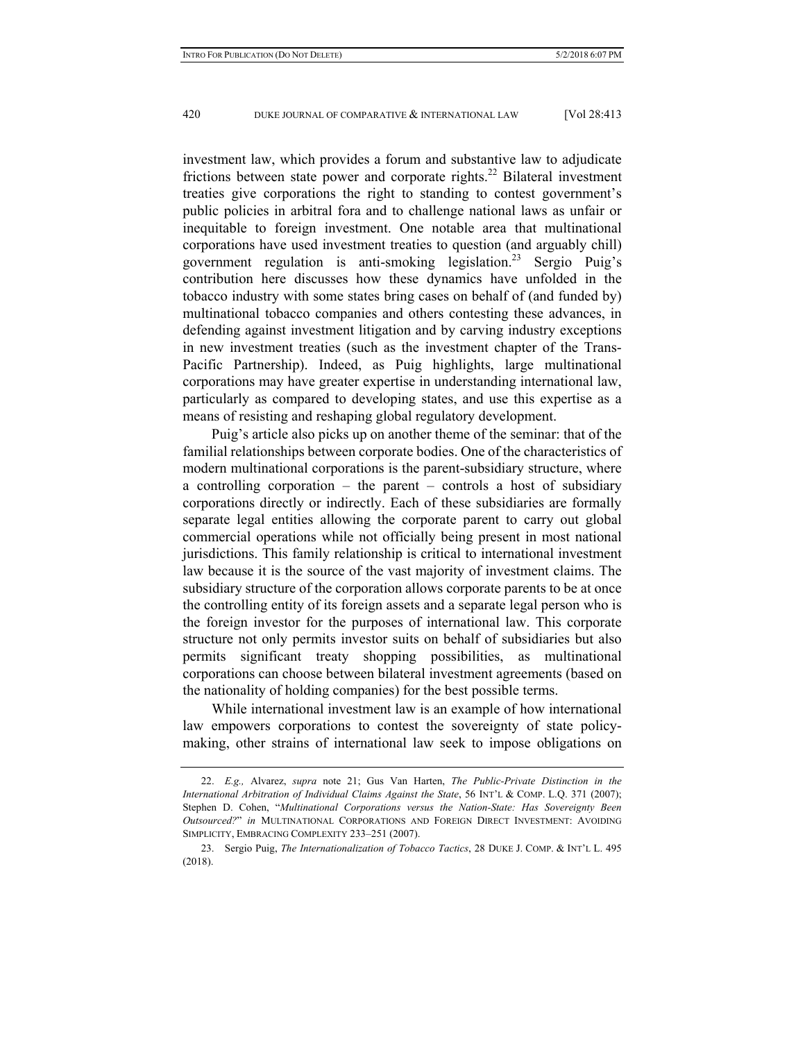investment law, which provides a forum and substantive law to adjudicate frictions between state power and corporate rights.<sup>22</sup> Bilateral investment treaties give corporations the right to standing to contest government's public policies in arbitral fora and to challenge national laws as unfair or inequitable to foreign investment. One notable area that multinational corporations have used investment treaties to question (and arguably chill) government regulation is anti-smoking legislation.<sup>23</sup> Sergio Puig's contribution here discusses how these dynamics have unfolded in the tobacco industry with some states bring cases on behalf of (and funded by) multinational tobacco companies and others contesting these advances, in defending against investment litigation and by carving industry exceptions in new investment treaties (such as the investment chapter of the Trans-Pacific Partnership). Indeed, as Puig highlights, large multinational corporations may have greater expertise in understanding international law, particularly as compared to developing states, and use this expertise as a means of resisting and reshaping global regulatory development.

Puig's article also picks up on another theme of the seminar: that of the familial relationships between corporate bodies. One of the characteristics of modern multinational corporations is the parent-subsidiary structure, where a controlling corporation – the parent – controls a host of subsidiary corporations directly or indirectly. Each of these subsidiaries are formally separate legal entities allowing the corporate parent to carry out global commercial operations while not officially being present in most national jurisdictions. This family relationship is critical to international investment law because it is the source of the vast majority of investment claims. The subsidiary structure of the corporation allows corporate parents to be at once the controlling entity of its foreign assets and a separate legal person who is the foreign investor for the purposes of international law. This corporate structure not only permits investor suits on behalf of subsidiaries but also permits significant treaty shopping possibilities, as multinational corporations can choose between bilateral investment agreements (based on the nationality of holding companies) for the best possible terms.

While international investment law is an example of how international law empowers corporations to contest the sovereignty of state policymaking, other strains of international law seek to impose obligations on

 <sup>22.</sup> *E.g.,* Alvarez, *supra* note 21; Gus Van Harten, *The Public-Private Distinction in the International Arbitration of Individual Claims Against the State*, 56 INT'L & COMP. L.Q. 371 (2007); Stephen D. Cohen, "*Multinational Corporations versus the Nation-State: Has Sovereignty Been Outsourced?*" *in* MULTINATIONAL CORPORATIONS AND FOREIGN DIRECT INVESTMENT: AVOIDING SIMPLICITY, EMBRACING COMPLEXITY 233–251 (2007).

 <sup>23.</sup> Sergio Puig, *The Internationalization of Tobacco Tactics*, 28 DUKE J. COMP. & INT'L L. 495 (2018).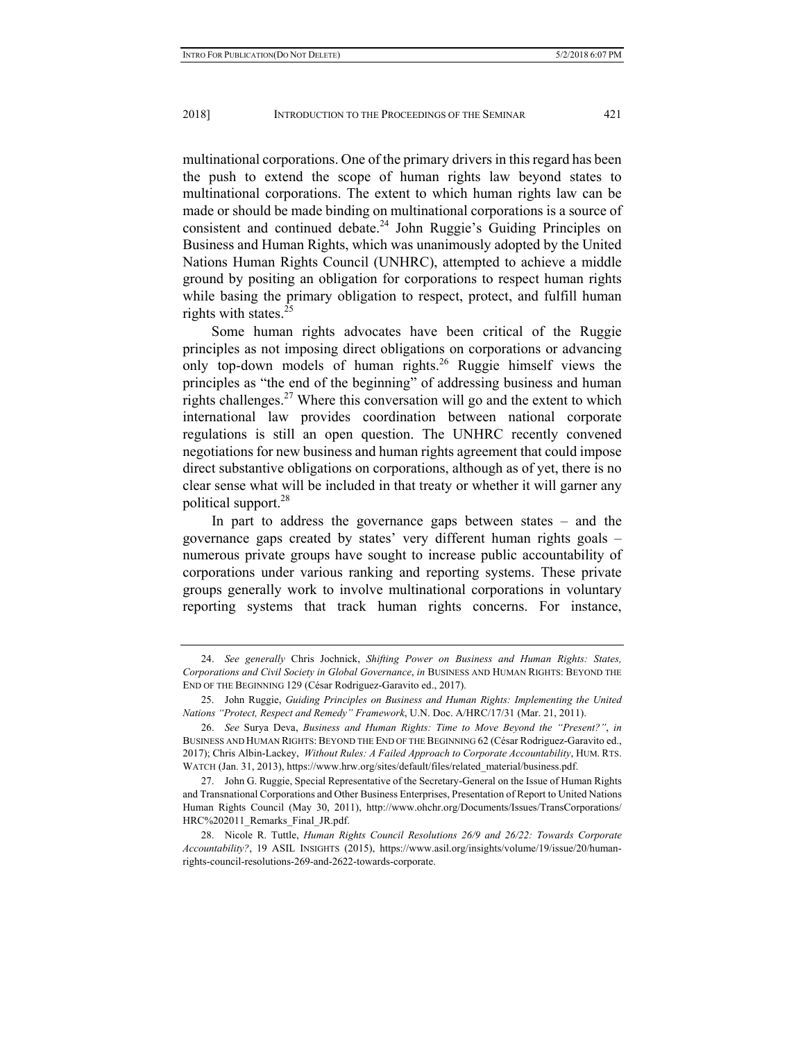multinational corporations. One of the primary drivers in this regard has been the push to extend the scope of human rights law beyond states to multinational corporations. The extent to which human rights law can be made or should be made binding on multinational corporations is a source of consistent and continued debate.24 John Ruggie's Guiding Principles on Business and Human Rights, which was unanimously adopted by the United Nations Human Rights Council (UNHRC), attempted to achieve a middle ground by positing an obligation for corporations to respect human rights while basing the primary obligation to respect, protect, and fulfill human rights with states. $^{25}$ 

Some human rights advocates have been critical of the Ruggie principles as not imposing direct obligations on corporations or advancing only top-down models of human rights.<sup>26</sup> Ruggie himself views the principles as "the end of the beginning" of addressing business and human rights challenges.<sup>27</sup> Where this conversation will go and the extent to which international law provides coordination between national corporate regulations is still an open question. The UNHRC recently convened negotiations for new business and human rights agreement that could impose direct substantive obligations on corporations, although as of yet, there is no clear sense what will be included in that treaty or whether it will garner any political support.28

In part to address the governance gaps between states – and the governance gaps created by states' very different human rights goals – numerous private groups have sought to increase public accountability of corporations under various ranking and reporting systems. These private groups generally work to involve multinational corporations in voluntary reporting systems that track human rights concerns. For instance,

 <sup>24.</sup> *See generally* Chris Jochnick, *Shifting Power on Business and Human Rights: States, Corporations and Civil Society in Global Governance*, *in* BUSINESS AND HUMAN RIGHTS: BEYOND THE END OF THE BEGINNING 129 (César Rodriguez-Garavito ed., 2017).

 <sup>25.</sup> John Ruggie, *Guiding Principles on Business and Human Rights: Implementing the United Nations "Protect, Respect and Remedy" Framework*, U.N. Doc. A/HRC/17/31 (Mar. 21, 2011).

 <sup>26.</sup> *See* Surya Deva, *Business and Human Rights: Time to Move Beyond the "Present?"*, *in* BUSINESS AND HUMAN RIGHTS: BEYOND THE END OF THE BEGINNING 62 (César Rodriguez-Garavito ed., 2017); Chris Albin-Lackey, *Without Rules: A Failed Approach to Corporate Accountability*, HUM. RTS. WATCH (Jan. 31, 2013), https://www.hrw.org/sites/default/files/related\_material/business.pdf.

 <sup>27.</sup> John G. Ruggie, Special Representative of the Secretary-General on the Issue of Human Rights and Transnational Corporations and Other Business Enterprises, Presentation of Report to United Nations Human Rights Council (May 30, 2011), http://www.ohchr.org/Documents/Issues/TransCorporations/ HRC%202011\_Remarks\_Final\_JR.pdf.

 <sup>28.</sup> Nicole R. Tuttle, *Human Rights Council Resolutions 26/9 and 26/22: Towards Corporate Accountability?*, 19 ASIL INSIGHTS (2015), https://www.asil.org/insights/volume/19/issue/20/humanrights-council-resolutions-269-and-2622-towards-corporate.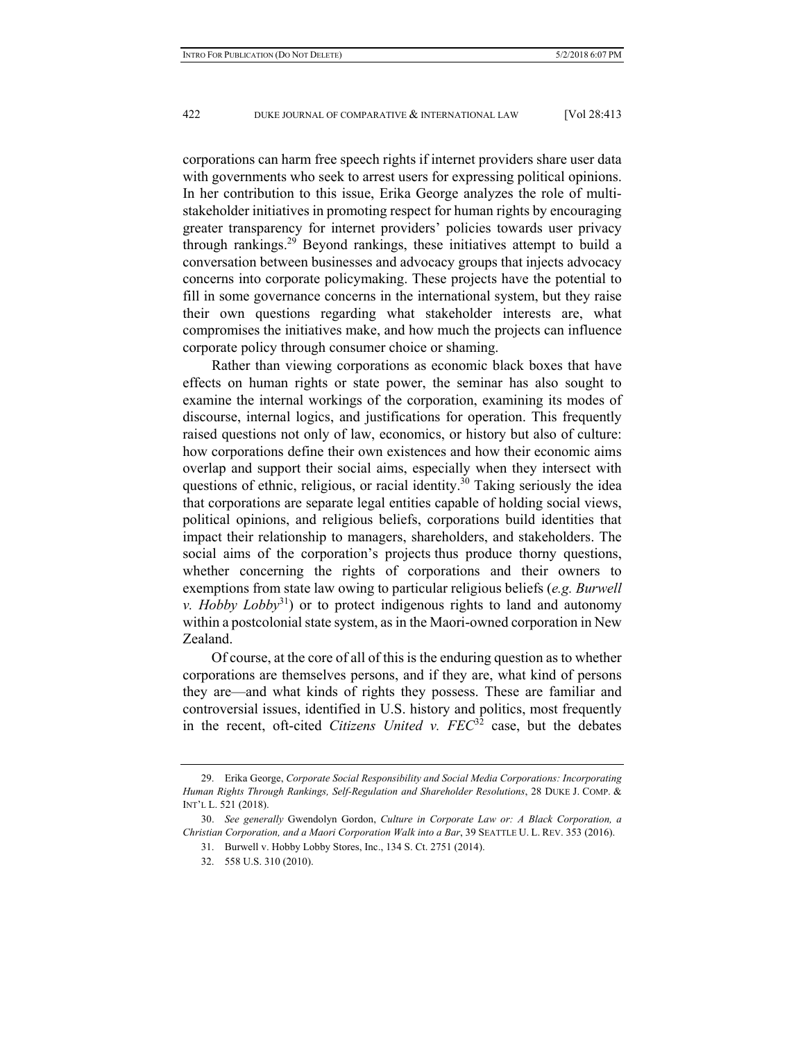corporations can harm free speech rights if internet providers share user data with governments who seek to arrest users for expressing political opinions. In her contribution to this issue, Erika George analyzes the role of multistakeholder initiatives in promoting respect for human rights by encouraging greater transparency for internet providers' policies towards user privacy through rankings.29 Beyond rankings, these initiatives attempt to build a conversation between businesses and advocacy groups that injects advocacy concerns into corporate policymaking. These projects have the potential to fill in some governance concerns in the international system, but they raise their own questions regarding what stakeholder interests are, what compromises the initiatives make, and how much the projects can influence corporate policy through consumer choice or shaming.

Rather than viewing corporations as economic black boxes that have effects on human rights or state power, the seminar has also sought to examine the internal workings of the corporation, examining its modes of discourse, internal logics, and justifications for operation. This frequently raised questions not only of law, economics, or history but also of culture: how corporations define their own existences and how their economic aims overlap and support their social aims, especially when they intersect with questions of ethnic, religious, or racial identity.<sup>30</sup> Taking seriously the idea that corporations are separate legal entities capable of holding social views, political opinions, and religious beliefs, corporations build identities that impact their relationship to managers, shareholders, and stakeholders. The social aims of the corporation's projects thus produce thorny questions, whether concerning the rights of corporations and their owners to exemptions from state law owing to particular religious beliefs (*e.g. Burwell v. Hobby Lobby*<sup>31</sup>) or to protect indigenous rights to land and autonomy within a postcolonial state system, as in the Maori-owned corporation in New Zealand.

Of course, at the core of all of this is the enduring question as to whether corporations are themselves persons, and if they are, what kind of persons they are—and what kinds of rights they possess. These are familiar and controversial issues, identified in U.S. history and politics, most frequently in the recent, oft-cited *Citizens United v. FEC*<sup>32</sup> case, but the debates

 <sup>29.</sup> Erika George, *Corporate Social Responsibility and Social Media Corporations: Incorporating Human Rights Through Rankings, Self-Regulation and Shareholder Resolutions*, 28 DUKE J. COMP. & INT'L L. 521 (2018).

 <sup>30.</sup> *See generally* Gwendolyn Gordon, *Culture in Corporate Law or: A Black Corporation, a Christian Corporation, and a Maori Corporation Walk into a Bar*, 39 SEATTLE U. L. REV. 353 (2016).

 <sup>31.</sup> Burwell v. Hobby Lobby Stores, Inc., 134 S. Ct. 2751 (2014).

 <sup>32. 558</sup> U.S. 310 (2010).